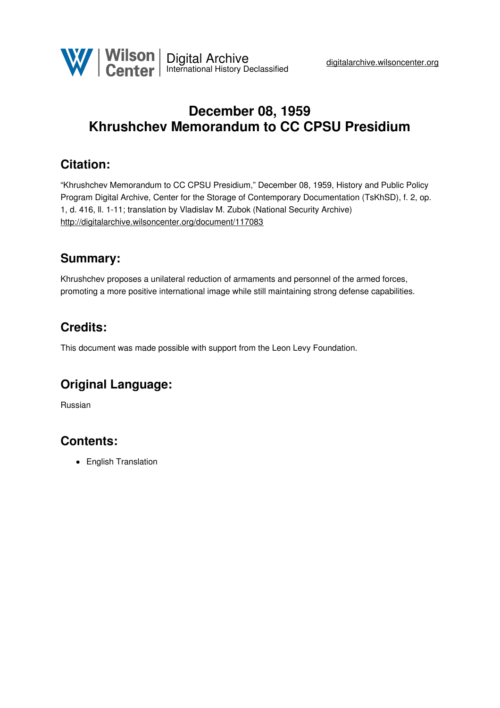

# **December 08, 1959 Khrushchev Memorandum to CC CPSU Presidium**

# **Citation:**

"Khrushchev Memorandum to CC CPSU Presidium," December 08, 1959, History and Public Policy Program Digital Archive, Center for the Storage of Contemporary Documentation (TsKhSD), f. 2, op. 1, d. 416, ll. 1-11; translation by Vladislav M. Zubok (National Security Archive) <http://digitalarchive.wilsoncenter.org/document/117083>

## **Summary:**

Khrushchev proposes a unilateral reduction of armaments and personnel of the armed forces, promoting a more positive international image while still maintaining strong defense capabilities.

# **Credits:**

This document was made possible with support from the Leon Levy Foundation.

## **Original Language:**

Russian

# **Contents:**

• English Translation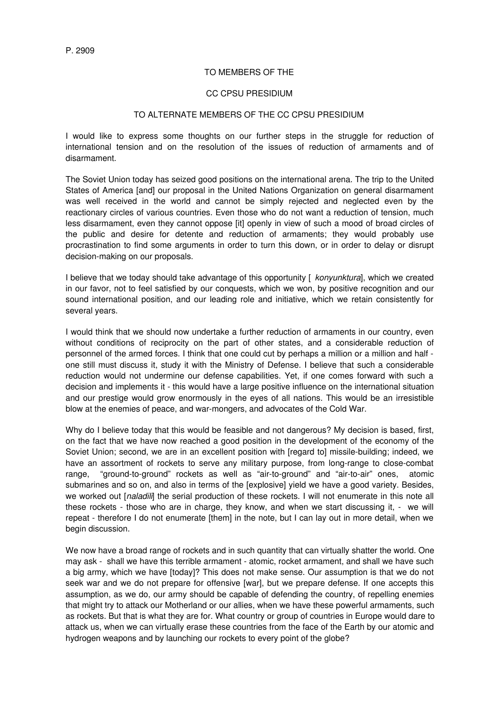#### TO MEMBERS OF THE

#### CC CPSU PRESIDIUM

### TO ALTERNATE MEMBERS OF THE CC CPSU PRESIDIUM

I would like to express some thoughts on our further steps in the struggle for reduction of international tension and on the resolution of the issues of reduction of armaments and of disarmament.

The Soviet Union today has seized good positions on the international arena. The trip to the United States of America [and] our proposal in the United Nations Organization on general disarmament was well received in the world and cannot be simply rejected and neglected even by the reactionary circles of various countries. Even those who do not want a reduction of tension, much less disarmament, even they cannot oppose [it] openly in view of such a mood of broad circles of the public and desire for detente and reduction of armaments; they would probably use procrastination to find some arguments in order to turn this down, or in order to delay or disrupt decision-making on our proposals.

I believe that we today should take advantage of this opportunity [ *konyunktura*], which we created in our favor, not to feel satisfied by our conquests, which we won, by positive recognition and our sound international position, and our leading role and initiative, which we retain consistently for several years.

I would think that we should now undertake a further reduction of armaments in our country, even without conditions of reciprocity on the part of other states, and a considerable reduction of personnel of the armed forces. I think that one could cut by perhaps a million or a million and half one still must discuss it, study it with the Ministry of Defense. I believe that such a considerable reduction would not undermine our defense capabilities. Yet, if one comes forward with such a decision and implements it - this would have a large positive influence on the international situation and our prestige would grow enormously in the eyes of all nations. This would be an irresistible blow at the enemies of peace, and war-mongers, and advocates of the Cold War.

Why do I believe today that this would be feasible and not dangerous? My decision is based, first, on the fact that we have now reached a good position in the development of the economy of the Soviet Union; second, we are in an excellent position with [regard to] missile-building; indeed, we have an assortment of rockets to serve any military purpose, from long-range to close-combat range, "ground-to-ground" rockets as well as "air-to-ground" and "air-to-air" ones, atomic submarines and so on, and also in terms of the [explosive] yield we have a good variety. Besides, we worked out [*naladili*] the serial production of these rockets. I will not enumerate in this note all these rockets - those who are in charge, they know, and when we start discussing it, - we will repeat - therefore I do not enumerate [them] in the note, but I can lay out in more detail, when we begin discussion.

We now have a broad range of rockets and in such quantity that can virtually shatter the world. One may ask - shall we have this terrible armament - atomic, rocket armament, and shall we have such a big army, which we have [today]? This does not make sense. Our assumption is that we do not seek war and we do not prepare for offensive [war], but we prepare defense. If one accepts this assumption, as we do, our army should be capable of defending the country, of repelling enemies that might try to attack our Motherland or our allies, when we have these powerful armaments, such as rockets. But that is what they are for. What country or group of countries in Europe would dare to attack us, when we can virtually erase these countries from the face of the Earth by our atomic and hydrogen weapons and by launching our rockets to every point of the globe?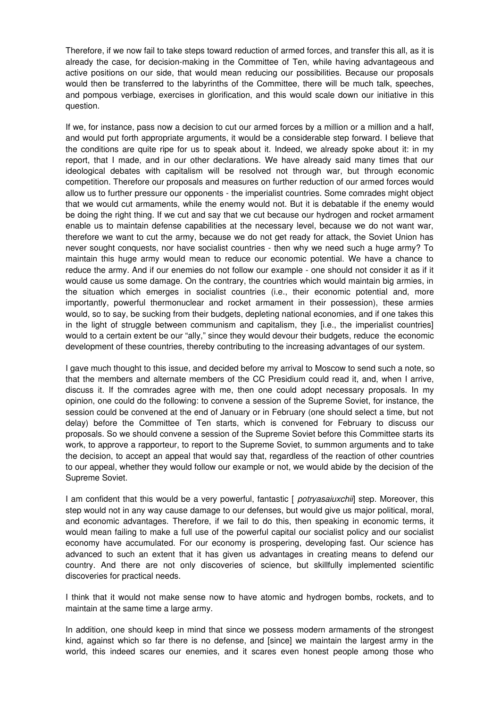Therefore, if we now fail to take steps toward reduction of armed forces, and transfer this all, as it is already the case, for decision-making in the Committee of Ten, while having advantageous and active positions on our side, that would mean reducing our possibilities. Because our proposals would then be transferred to the labyrinths of the Committee, there will be much talk, speeches, and pompous verbiage, exercises in glorification, and this would scale down our initiative in this question.

If we, for instance, pass now a decision to cut our armed forces by a million or a million and a half, and would put forth appropriate arguments, it would be a considerable step forward. I believe that the conditions are quite ripe for us to speak about it. Indeed, we already spoke about it: in my report, that I made, and in our other declarations. We have already said many times that our ideological debates with capitalism will be resolved not through war, but through economic competition. Therefore our proposals and measures on further reduction of our armed forces would allow us to further pressure our opponents - the imperialist countries. Some comrades might object that we would cut armaments, while the enemy would not. But it is debatable if the enemy would be doing the right thing. If we cut and say that we cut because our hydrogen and rocket armament enable us to maintain defense capabilities at the necessary level, because we do not want war, therefore we want to cut the army, because we do not get ready for attack, the Soviet Union has never sought conquests, nor have socialist countries - then why we need such a huge army? To maintain this huge army would mean to reduce our economic potential. We have a chance to reduce the army. And if our enemies do not follow our example - one should not consider it as if it would cause us some damage. On the contrary, the countries which would maintain big armies, in the situation which emerges in socialist countries (i.e., their economic potential and, more importantly, powerful thermonuclear and rocket armament in their possession), these armies would, so to say, be sucking from their budgets, depleting national economies, and if one takes this in the light of struggle between communism and capitalism, they [i.e., the imperialist countries] would to a certain extent be our "ally," since they would devour their budgets, reduce the economic development of these countries, thereby contributing to the increasing advantages of our system.

I gave much thought to this issue, and decided before my arrival to Moscow to send such a note, so that the members and alternate members of the CC Presidium could read it, and, when I arrive, discuss it. If the comrades agree with me, then one could adopt necessary proposals. In my opinion, one could do the following: to convene a session of the Supreme Soviet, for instance, the session could be convened at the end of January or in February (one should select a time, but not delay) before the Committee of Ten starts, which is convened for February to discuss our proposals. So we should convene a session of the Supreme Soviet before this Committee starts its work, to approve a rapporteur, to report to the Supreme Soviet, to summon arguments and to take the decision, to accept an appeal that would say that, regardless of the reaction of other countries to our appeal, whether they would follow our example or not, we would abide by the decision of the Supreme Soviet.

I am confident that this would be a very powerful, fantastic [ *potryasaiuxchii*] step. Moreover, this step would not in any way cause damage to our defenses, but would give us major political, moral, and economic advantages. Therefore, if we fail to do this, then speaking in economic terms, it would mean failing to make a full use of the powerful capital our socialist policy and our socialist economy have accumulated. For our economy is prospering, developing fast. Our science has advanced to such an extent that it has given us advantages in creating means to defend our country. And there are not only discoveries of science, but skillfully implemented scientific discoveries for practical needs.

I think that it would not make sense now to have atomic and hydrogen bombs, rockets, and to maintain at the same time a large army.

In addition, one should keep in mind that since we possess modern armaments of the strongest kind, against which so far there is no defense, and [since] we maintain the largest army in the world, this indeed scares our enemies, and it scares even honest people among those who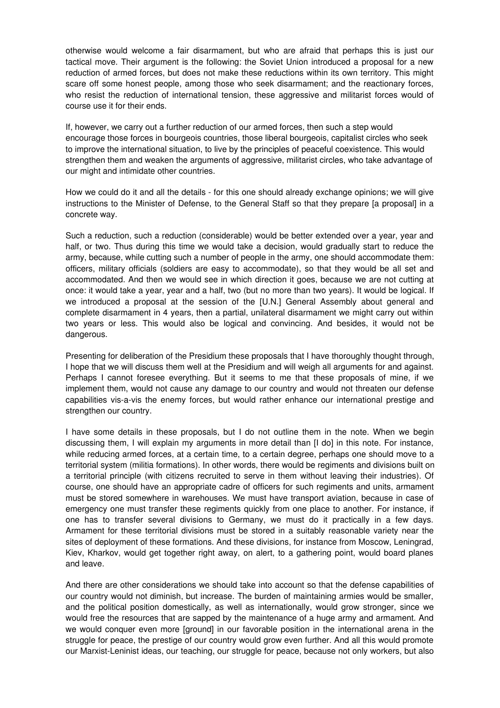otherwise would welcome a fair disarmament, but who are afraid that perhaps this is just our tactical move. Their argument is the following: the Soviet Union introduced a proposal for a new reduction of armed forces, but does not make these reductions within its own territory. This might scare off some honest people, among those who seek disarmament; and the reactionary forces, who resist the reduction of international tension, these aggressive and militarist forces would of course use it for their ends.

If, however, we carry out a further reduction of our armed forces, then such a step would encourage those forces in bourgeois countries, those liberal bourgeois, capitalist circles who seek to improve the international situation, to live by the principles of peaceful coexistence. This would strengthen them and weaken the arguments of aggressive, militarist circles, who take advantage of our might and intimidate other countries.

How we could do it and all the details - for this one should already exchange opinions; we will give instructions to the Minister of Defense, to the General Staff so that they prepare [a proposal] in a concrete way.

Such a reduction, such a reduction (considerable) would be better extended over a year, year and half, or two. Thus during this time we would take a decision, would gradually start to reduce the army, because, while cutting such a number of people in the army, one should accommodate them: officers, military officials (soldiers are easy to accommodate), so that they would be all set and accommodated. And then we would see in which direction it goes, because we are not cutting at once: it would take a year, year and a half, two (but no more than two years). It would be logical. If we introduced a proposal at the session of the [U.N.] General Assembly about general and complete disarmament in 4 years, then a partial, unilateral disarmament we might carry out within two years or less. This would also be logical and convincing. And besides, it would not be dangerous.

Presenting for deliberation of the Presidium these proposals that I have thoroughly thought through, I hope that we will discuss them well at the Presidium and will weigh all arguments for and against. Perhaps I cannot foresee everything. But it seems to me that these proposals of mine, if we implement them, would not cause any damage to our country and would not threaten our defense capabilities vis-a-vis the enemy forces, but would rather enhance our international prestige and strengthen our country.

I have some details in these proposals, but I do not outline them in the note. When we begin discussing them, I will explain my arguments in more detail than [I do] in this note. For instance, while reducing armed forces, at a certain time, to a certain degree, perhaps one should move to a territorial system (militia formations). In other words, there would be regiments and divisions built on a territorial principle (with citizens recruited to serve in them without leaving their industries). Of course, one should have an appropriate cadre of officers for such regiments and units, armament must be stored somewhere in warehouses. We must have transport aviation, because in case of emergency one must transfer these regiments quickly from one place to another. For instance, if one has to transfer several divisions to Germany, we must do it practically in a few days. Armament for these territorial divisions must be stored in a suitably reasonable variety near the sites of deployment of these formations. And these divisions, for instance from Moscow, Leningrad, Kiev, Kharkov, would get together right away, on alert, to a gathering point, would board planes and leave.

And there are other considerations we should take into account so that the defense capabilities of our country would not diminish, but increase. The burden of maintaining armies would be smaller, and the political position domestically, as well as internationally, would grow stronger, since we would free the resources that are sapped by the maintenance of a huge army and armament. And we would conquer even more [ground] in our favorable position in the international arena in the struggle for peace, the prestige of our country would grow even further. And all this would promote our Marxist-Leninist ideas, our teaching, our struggle for peace, because not only workers, but also